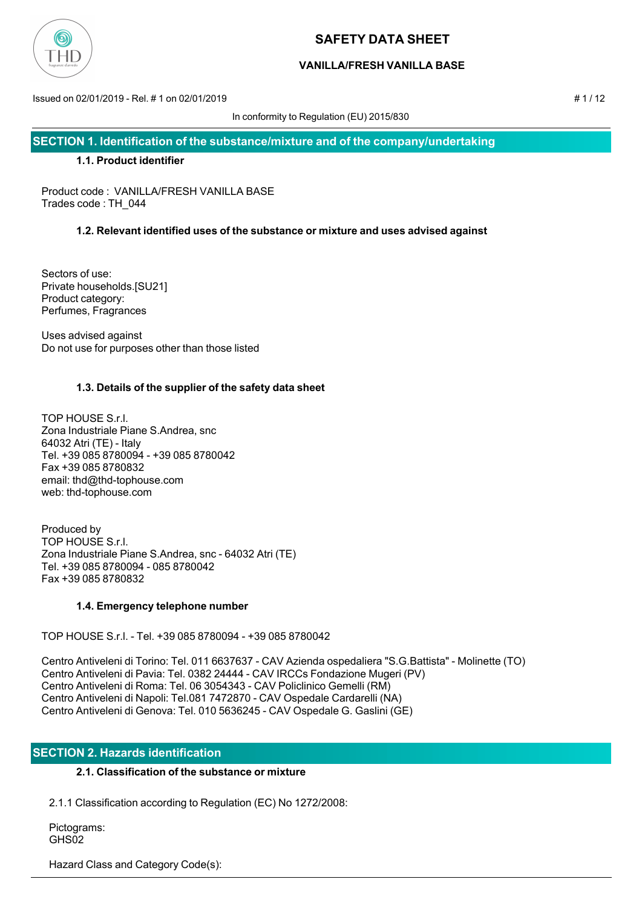

## **VANILLA/FRESH VANILLA BASE**

Issued on 02/01/2019 - Rel. # 1 on 02/01/2019 # 1 / 12

In conformity to Regulation (EU) 2015/830

**SECTION 1. Identification of the substance/mixture and of the company/undertaking**

#### **1.1. Product identifier**

Product code : VANILLA/FRESH VANILLA BASE Trades code : TH\_044

## **1.2. Relevant identified uses of the substance or mixture and uses advised against**

Sectors of use: Private households.[SU21] Product category: Perfumes, Fragrances

Uses advised against Do not use for purposes other than those listed

### **1.3. Details of the supplier of the safety data sheet**

TOP HOUSE S.r.l. Zona Industriale Piane S.Andrea, snc 64032 Atri (TE) - Italy Tel. +39 085 8780094 - +39 085 8780042 Fax +39 085 8780832 email: thd@thd-tophouse.com web: thd-tophouse.com

Produced by TOP HOUSE S.r.l. Zona Industriale Piane S.Andrea, snc - 64032 Atri (TE) Tel. +39 085 8780094 - 085 8780042 Fax +39 085 8780832

#### **1.4. Emergency telephone number**

TOP HOUSE S.r.l. - Tel. +39 085 8780094 - +39 085 8780042

Centro Antiveleni di Torino: Tel. 011 6637637 - CAV Azienda ospedaliera "S.G.Battista" - Molinette (TO) Centro Antiveleni di Pavia: Tel. 0382 24444 - CAV IRCCs Fondazione Mugeri (PV) Centro Antiveleni di Roma: Tel. 06 3054343 - CAV Policlinico Gemelli (RM) Centro Antiveleni di Napoli: Tel.081 7472870 - CAV Ospedale Cardarelli (NA) Centro Antiveleni di Genova: Tel. 010 5636245 - CAV Ospedale G. Gaslini (GE)

## **SECTION 2. Hazards identification**

### **2.1. Classification of the substance or mixture**

2.1.1 Classification according to Regulation (EC) No 1272/2008:

 Pictograms: GHS<sub>02</sub>

Hazard Class and Category Code(s):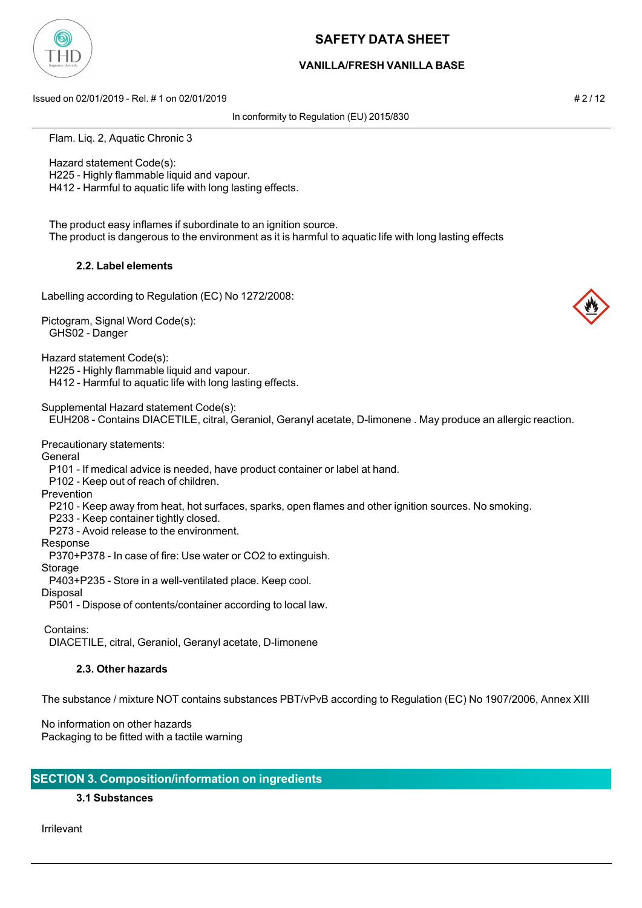

### **VANILLA/FRESH VANILLA BASE**

Issued on 02/01/2019 - Rel. # 1 on 02/01/2019 # 2 / 12

In conformity to Regulation (EU) 2015/830

Flam. Liq. 2, Aquatic Chronic 3

 Hazard statement Code(s): H225 - Highly flammable liquid and vapour.

H412 - Harmful to aquatic life with long lasting effects.

 The product easy inflames if subordinate to an ignition source. The product is dangerous to the environment as it is harmful to aquatic life with long lasting effects

#### **2.2. Label elements**

Labelling according to Regulation (EC) No 1272/2008:

Pictogram, Signal Word Code(s): GHS02 - Danger

Hazard statement Code(s):

H225 - Highly flammable liquid and vapour.

H412 - Harmful to aquatic life with long lasting effects.

Supplemental Hazard statement Code(s):

EUH208 - Contains DIACETILE, citral, Geraniol, Geranyl acetate, D-limonene . May produce an allergic reaction.

Precautionary statements:

**General** 

P101 - If medical advice is needed, have product container or label at hand.

P102 - Keep out of reach of children.

Prevention

P210 - Keep away from heat, hot surfaces, sparks, open flames and other ignition sources. No smoking.

P233 - Keep container tightly closed.

P273 - Avoid release to the environment.

Response

P370+P378 - In case of fire: Use water or CO2 to extinguish.

Storage

P403+P235 - Store in a well-ventilated place. Keep cool.

Disposal

P501 - Dispose of contents/container according to local law.

Contains:

DIACETILE, citral, Geraniol, Geranyl acetate, D-limonene

#### **2.3. Other hazards**

The substance / mixture NOT contains substances PBT/vPvB according to Regulation (EC) No 1907/2006, Annex XIII

No information on other hazards Packaging to be fitted with a tactile warning

## **SECTION 3. Composition/information on ingredients**

## **3.1 Substances**

Irrilevant

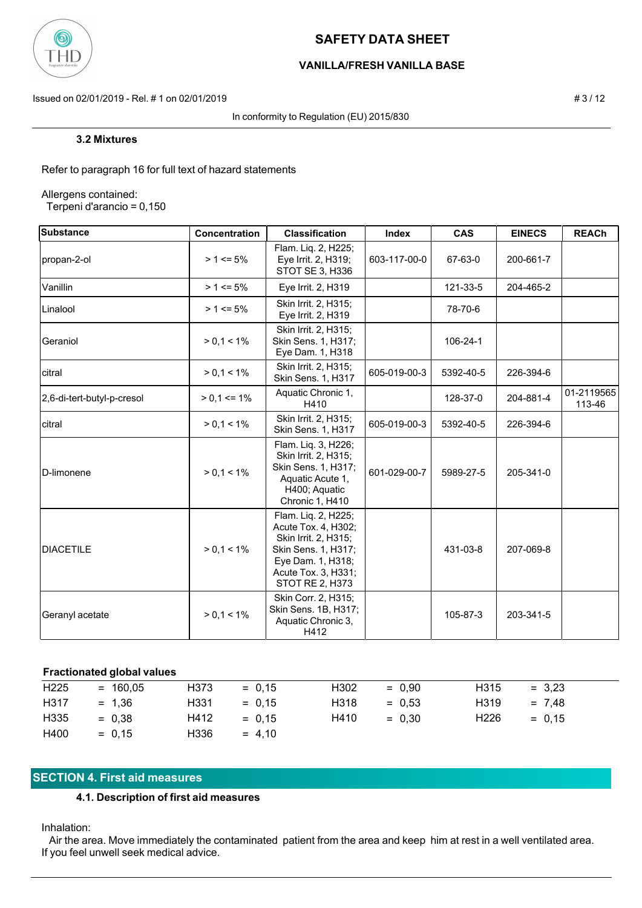

## **VANILLA/FRESH VANILLA BASE**

Issued on 02/01/2019 - Rel. # 1 on 02/01/2019 **# 3** / 12

In conformity to Regulation (EU) 2015/830

#### **3.2 Mixtures**

Refer to paragraph 16 for full text of hazard statements

Allergens contained:

Terpeni d'arancio = 0,150

| Substance                  | Concentration   | <b>Classification</b>                                                                                                                                    | <b>Index</b> | <b>CAS</b> | <b>EINECS</b> | <b>REACh</b>         |
|----------------------------|-----------------|----------------------------------------------------------------------------------------------------------------------------------------------------------|--------------|------------|---------------|----------------------|
| propan-2-ol                | $> 1 \le 5\%$   | Flam. Liq. 2, H225;<br>Eye Irrit. 2, H319;<br>STOT SE 3, H336                                                                                            | 603-117-00-0 | 67-63-0    | 200-661-7     |                      |
| Vanillin                   | $> 1 \le 5\%$   | Eye Irrit. 2, H319                                                                                                                                       |              | 121-33-5   | 204-465-2     |                      |
| Linalool                   | $> 1 \le 5\%$   | Skin Irrit. 2, H315;<br>Eye Irrit. 2, H319                                                                                                               |              | 78-70-6    |               |                      |
| Geraniol                   | $> 0.1 < 1\%$   | Skin Irrit. 2, H315;<br>Skin Sens. 1, H317;<br>Eye Dam. 1, H318                                                                                          |              | 106-24-1   |               |                      |
| citral                     | $> 0.1 < 1\%$   | Skin Irrit. 2, H315;<br>Skin Sens. 1, H317                                                                                                               | 605-019-00-3 | 5392-40-5  | 226-394-6     |                      |
| 2,6-di-tert-butyl-p-cresol | $> 0.1 \le 1\%$ | Aquatic Chronic 1,<br>H410                                                                                                                               |              | 128-37-0   | 204-881-4     | 01-2119565<br>113-46 |
| citral                     | $> 0, 1 < 1\%$  | Skin Irrit. 2, H315;<br>Skin Sens. 1, H317                                                                                                               | 605-019-00-3 | 5392-40-5  | 226-394-6     |                      |
| D-limonene                 | $> 0, 1 < 1\%$  | Flam. Liq. 3, H226;<br>Skin Irrit. 2, H315;<br>Skin Sens. 1, H317;<br>Aquatic Acute 1,<br>H400; Aquatic<br>Chronic 1, H410                               | 601-029-00-7 | 5989-27-5  | 205-341-0     |                      |
| <b>DIACETILE</b>           | $> 0, 1 < 1\%$  | Flam. Lig. 2, H225;<br>Acute Tox. 4, H302;<br>Skin Irrit. 2, H315;<br>Skin Sens. 1, H317;<br>Eye Dam. 1, H318;<br>Acute Tox. 3, H331;<br>STOT RE 2, H373 |              | 431-03-8   | 207-069-8     |                      |
| Geranyl acetate            | $> 0, 1 < 1\%$  | Skin Corr. 2, H315;<br>Skin Sens. 1B, H317;<br>Aquatic Chronic 3,<br>H412                                                                                |              | 105-87-3   | 203-341-5     |                      |

#### **Fractionated global values**

| H <sub>225</sub> | $= 160,05$ | H373 | $= 0.15$ | H302 | $= 0.90$ | H315             | $= 3.23$ |
|------------------|------------|------|----------|------|----------|------------------|----------|
|                  |            |      |          |      |          |                  |          |
| H317             | $= 1.36$   | H331 | $= 0.15$ | H318 | $= 0.53$ | H319             | $= 7.48$ |
| H335             | $= 0.38$   | H412 | $= 0.15$ | H410 | $= 0.30$ | H <sub>226</sub> | $= 0.15$ |
| H400             | $= 0.15$   | H336 | $= 4.10$ |      |          |                  |          |

# **SECTION 4. First aid measures**

## **4.1. Description of first aid measures**

Inhalation:

 Air the area. Move immediately the contaminated patient from the area and keep him at rest in a well ventilated area. If you feel unwell seek medical advice.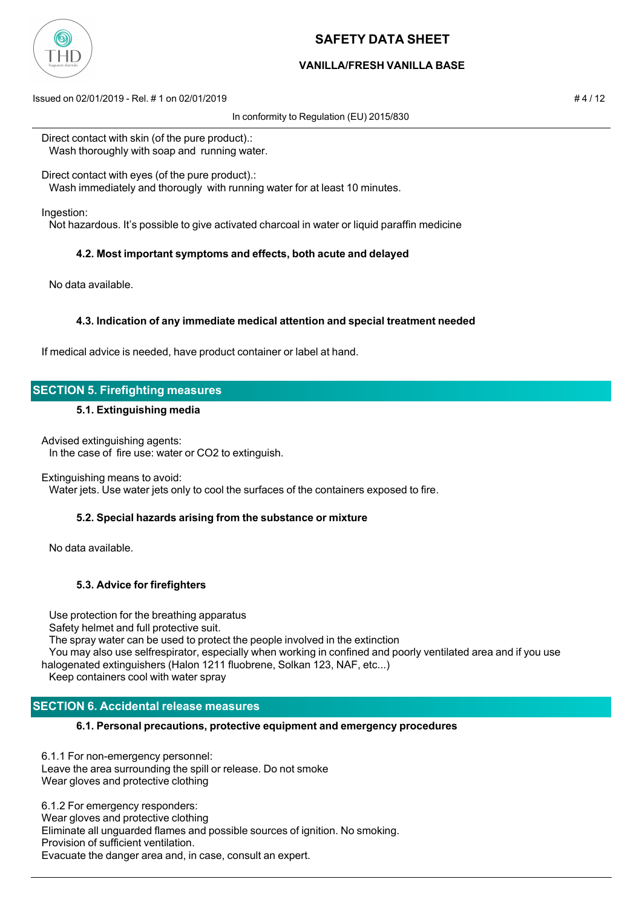

## **VANILLA/FRESH VANILLA BASE**

Issued on 02/01/2019 - Rel. # 1 on 02/01/2019 # 4 / 12

In conformity to Regulation (EU) 2015/830

Direct contact with skin (of the pure product).: Wash thoroughly with soap and running water.

Direct contact with eyes (of the pure product).:

Wash immediately and thorougly with running water for at least 10 minutes.

Ingestion:

Not hazardous. It's possible to give activated charcoal in water or liquid paraffin medicine

### **4.2. Most important symptoms and effects, both acute and delayed**

No data available.

### **4.3. Indication of any immediate medical attention and special treatment needed**

If medical advice is needed, have product container or label at hand.

## **SECTION 5. Firefighting measures**

#### **5.1. Extinguishing media**

Advised extinguishing agents:

In the case of fire use: water or CO2 to extinguish.

#### Extinguishing means to avoid:

Water jets. Use water jets only to cool the surfaces of the containers exposed to fire.

#### **5.2. Special hazards arising from the substance or mixture**

No data available.

## **5.3. Advice for firefighters**

 Use protection for the breathing apparatus Safety helmet and full protective suit. The spray water can be used to protect the people involved in the extinction You may also use selfrespirator, especially when working in confined and poorly ventilated area and if you use halogenated extinguishers (Halon 1211 fluobrene, Solkan 123, NAF, etc...)

Keep containers cool with water spray

## **SECTION 6. Accidental release measures**

#### **6.1. Personal precautions, protective equipment and emergency procedures**

6.1.1 For non-emergency personnel: Leave the area surrounding the spill or release. Do not smoke Wear gloves and protective clothing

6.1.2 For emergency responders: Wear gloves and protective clothing Eliminate all unguarded flames and possible sources of ignition. No smoking. Provision of sufficient ventilation. Evacuate the danger area and, in case, consult an expert.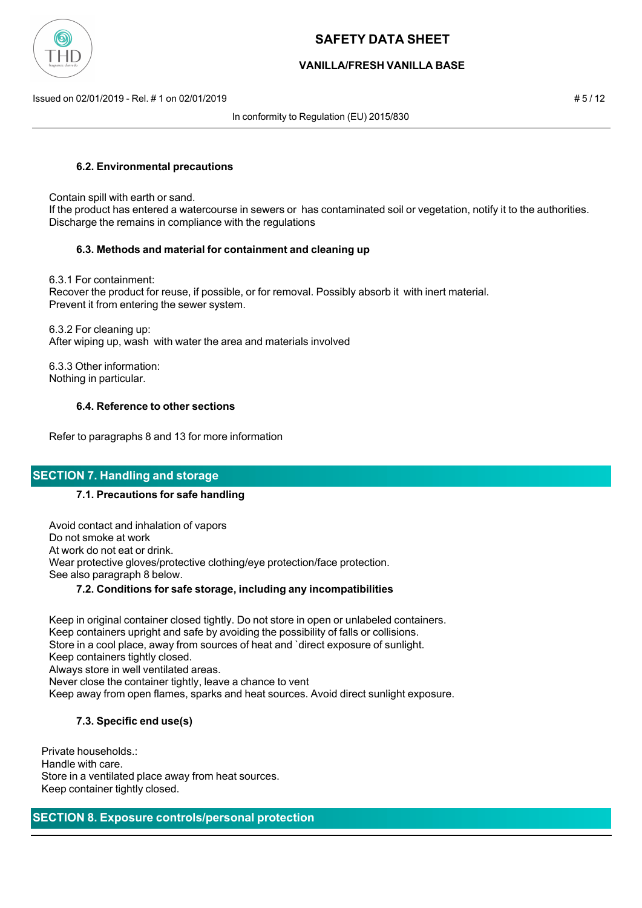

### **VANILLA/FRESH VANILLA BASE**

Issued on 02/01/2019 - Rel. # 1 on 02/01/2019 # 5 / 12

In conformity to Regulation (EU) 2015/830

#### **6.2. Environmental precautions**

Contain spill with earth or sand.

 If the product has entered a watercourse in sewers or has contaminated soil or vegetation, notify it to the authorities. Discharge the remains in compliance with the regulations

### **6.3. Methods and material for containment and cleaning up**

 6.3.1 For containment: Recover the product for reuse, if possible, or for removal. Possibly absorb it with inert material. Prevent it from entering the sewer system.

 6.3.2 For cleaning up: After wiping up, wash with water the area and materials involved

 6.3.3 Other information: Nothing in particular.

### **6.4. Reference to other sections**

Refer to paragraphs 8 and 13 for more information

## **SECTION 7. Handling and storage**

#### **7.1. Precautions for safe handling**

 Avoid contact and inhalation of vapors Do not smoke at work At work do not eat or drink. Wear protective gloves/protective clothing/eye protection/face protection. See also paragraph 8 below.

### **7.2. Conditions for safe storage, including any incompatibilities**

 Keep in original container closed tightly. Do not store in open or unlabeled containers. Keep containers upright and safe by avoiding the possibility of falls or collisions. Store in a cool place, away from sources of heat and `direct exposure of sunlight. Keep containers tightly closed. Always store in well ventilated areas. Never close the container tightly, leave a chance to vent Keep away from open flames, sparks and heat sources. Avoid direct sunlight exposure.

## **7.3. Specific end use(s)**

Private households.: Handle with care. Store in a ventilated place away from heat sources. Keep container tightly closed.

## **SECTION 8. Exposure controls/personal protection**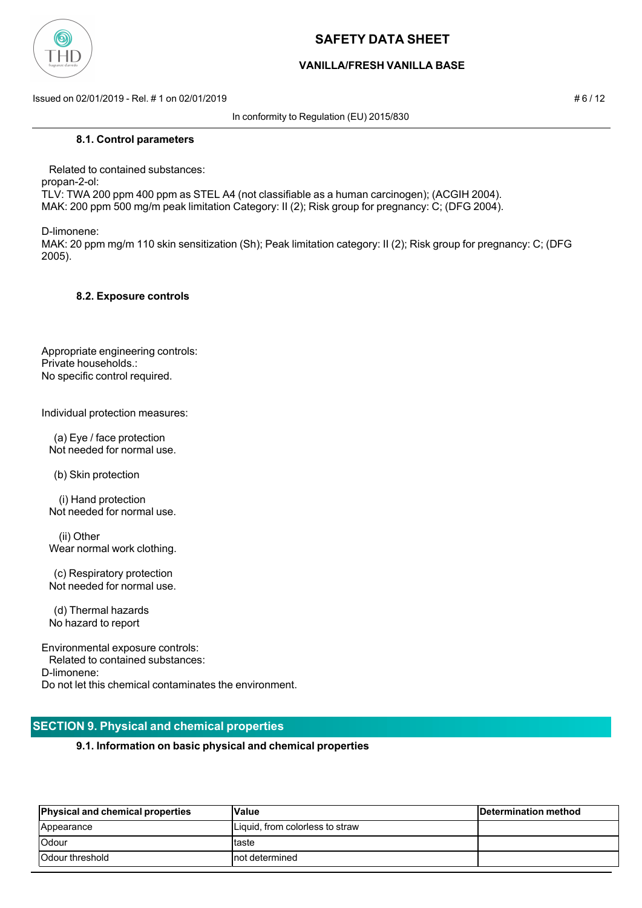

### **VANILLA/FRESH VANILLA BASE**

Issued on 02/01/2019 - Rel. # 1 on 02/01/2019 # 6 / 12

In conformity to Regulation (EU) 2015/830

 Related to contained substances: propan-2-ol: TLV: TWA 200 ppm 400 ppm as STEL A4 (not classifiable as a human carcinogen); (ACGIH 2004). MAK: 200 ppm 500 mg/m peak limitation Category: II (2); Risk group for pregnancy: C; (DFG 2004).

D-limonene:

MAK: 20 ppm mg/m 110 skin sensitization (Sh); Peak limitation category: II (2); Risk group for pregnancy: C; (DFG 2005).

#### **8.2. Exposure controls**

Appropriate engineering controls: Private households.: No specific control required.

Individual protection measures:

 (a) Eye / face protection Not needed for normal use.

(b) Skin protection

 (i) Hand protection Not needed for normal use.

 (ii) Other Wear normal work clothing.

 (c) Respiratory protection Not needed for normal use.

 (d) Thermal hazards No hazard to report

Environmental exposure controls: Related to contained substances: D-limonene: Do not let this chemical contaminates the environment.

#### **SECTION 9. Physical and chemical properties**

#### **9.1. Information on basic physical and chemical properties**

| <b>Physical and chemical properties</b> | Value                           | Determination method |
|-----------------------------------------|---------------------------------|----------------------|
| Appearance                              | Liquid, from colorless to straw |                      |
| <b>Odour</b>                            | taste                           |                      |
| <b>Odour threshold</b>                  | Inot determined                 |                      |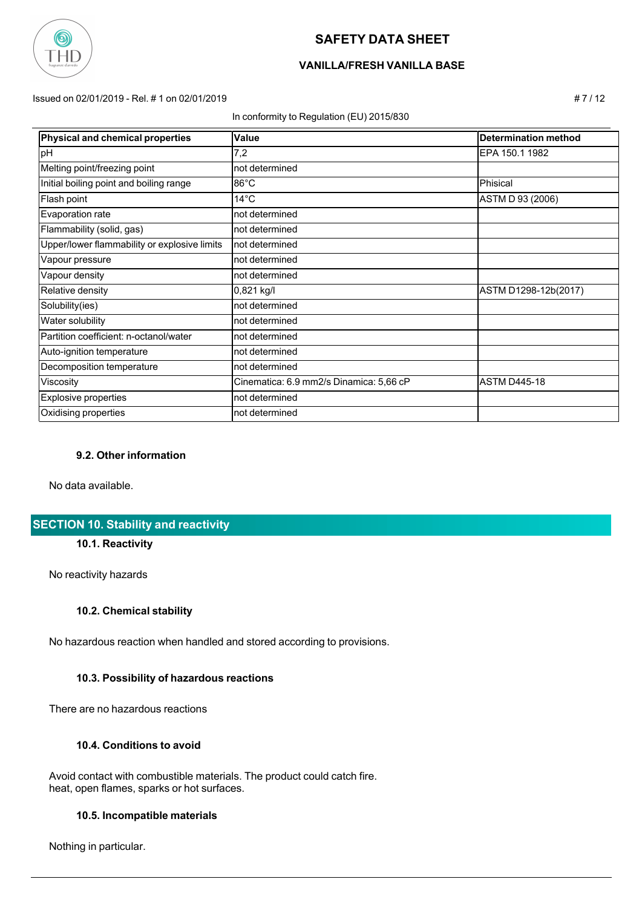

## **VANILLA/FRESH VANILLA BASE**

Issued on 02/01/2019 - Rel. # 1 on 02/01/2019 # 7 / 12

In conformity to Regulation (EU) 2015/830

| <b>Physical and chemical properties</b>      | Value                                   | <b>Determination method</b> |
|----------------------------------------------|-----------------------------------------|-----------------------------|
| pH                                           | 7,2                                     | EPA 150.1 1982              |
| Melting point/freezing point                 | not determined                          |                             |
| Initial boiling point and boiling range      | $86^{\circ}$ C                          | <b>Phisical</b>             |
| Flash point                                  | $14^{\circ}$ C                          | ASTM D 93 (2006)            |
| <b>Evaporation rate</b>                      | not determined                          |                             |
| Flammability (solid, gas)                    | not determined                          |                             |
| Upper/lower flammability or explosive limits | not determined                          |                             |
| Vapour pressure                              | not determined                          |                             |
| Vapour density                               | not determined                          |                             |
| Relative density                             | $0,821$ kg/l                            | ASTM D1298-12b(2017)        |
| Solubility(ies)                              | not determined                          |                             |
| Water solubility                             | not determined                          |                             |
| Partition coefficient: n-octanol/water       | not determined                          |                             |
| Auto-ignition temperature                    | not determined                          |                             |
| Decomposition temperature                    | not determined                          |                             |
| Viscosity                                    | Cinematica: 6.9 mm2/s Dinamica: 5,66 cP | <b>ASTM D445-18</b>         |
| Explosive properties                         | not determined                          |                             |
| Oxidising properties                         | not determined                          |                             |

#### **9.2. Other information**

No data available.

## **SECTION 10. Stability and reactivity**

#### **10.1. Reactivity**

No reactivity hazards

#### **10.2. Chemical stability**

No hazardous reaction when handled and stored according to provisions.

#### **10.3. Possibility of hazardous reactions**

There are no hazardous reactions

#### **10.4. Conditions to avoid**

 Avoid contact with combustible materials. The product could catch fire. heat, open flames, sparks or hot surfaces.

#### **10.5. Incompatible materials**

Nothing in particular.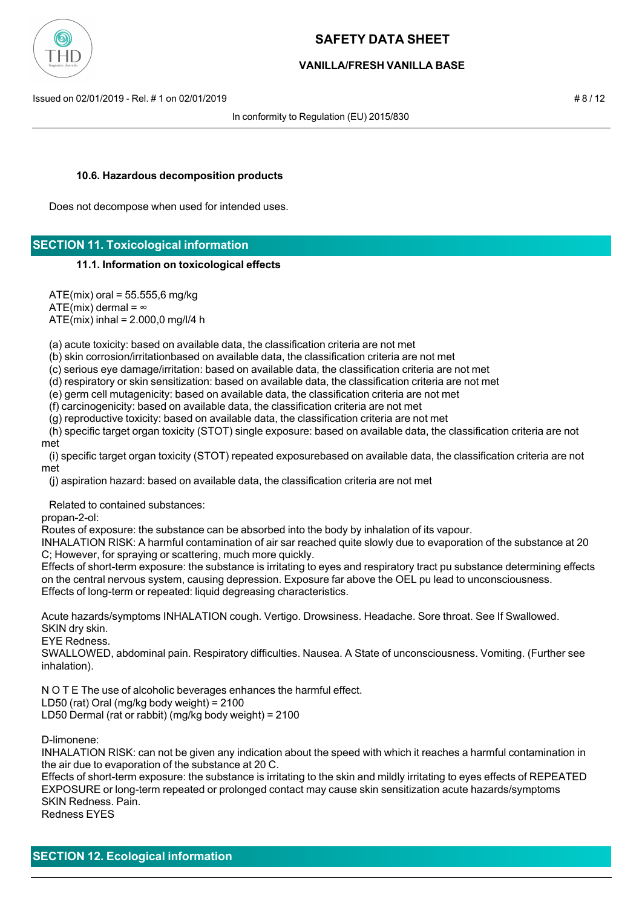

### **VANILLA/FRESH VANILLA BASE**

Issued on 02/01/2019 - Rel. # 1 on 02/01/2019 # 8 / 12

In conformity to Regulation (EU) 2015/830

#### **10.6. Hazardous decomposition products**

Does not decompose when used for intended uses.

## **SECTION 11. Toxicological information**

#### **11.1. Information on toxicological effects**

 ATE(mix) oral = 55.555,6 mg/kg ATE(mix) dermal =  $\infty$ ATE(mix) inhal = 2.000,0 mg/l/4 h

(a) acute toxicity: based on available data, the classification criteria are not met

(b) skin corrosion/irritationbased on available data, the classification criteria are not met

(c) serious eye damage/irritation: based on available data, the classification criteria are not met

(d) respiratory or skin sensitization: based on available data, the classification criteria are not met

(e) germ cell mutagenicity: based on available data, the classification criteria are not met

(f) carcinogenicity: based on available data, the classification criteria are not met

(g) reproductive toxicity: based on available data, the classification criteria are not met

 (h) specific target organ toxicity (STOT) single exposure: based on available data, the classification criteria are not met

 (i) specific target organ toxicity (STOT) repeated exposurebased on available data, the classification criteria are not met

(j) aspiration hazard: based on available data, the classification criteria are not met

Related to contained substances:

propan-2-ol:

Routes of exposure: the substance can be absorbed into the body by inhalation of its vapour.

INHALATION RISK: A harmful contamination of air sar reached quite slowly due to evaporation of the substance at 20 C; However, for spraying or scattering, much more quickly.

Effects of short-term exposure: the substance is irritating to eyes and respiratory tract pu substance determining effects on the central nervous system, causing depression. Exposure far above the OEL pu lead to unconsciousness. Effects of long-term or repeated: liquid degreasing characteristics.

Acute hazards/symptoms INHALATION cough. Vertigo. Drowsiness. Headache. Sore throat. See If Swallowed. SKIN dry skin.

EYE Redness.

SWALLOWED, abdominal pain. Respiratory difficulties. Nausea. A State of unconsciousness. Vomiting. (Further see inhalation).

N O T E The use of alcoholic beverages enhances the harmful effect.

LD50 (rat) Oral (mg/kg body weight) = 2100

LD50 Dermal (rat or rabbit) (mg/kg body weight) = 2100

D-limonene:

INHALATION RISK: can not be given any indication about the speed with which it reaches a harmful contamination in the air due to evaporation of the substance at 20 C.

Effects of short-term exposure: the substance is irritating to the skin and mildly irritating to eyes effects of REPEATED EXPOSURE or long-term repeated or prolonged contact may cause skin sensitization acute hazards/symptoms SKIN Redness. Pain.

Redness EYES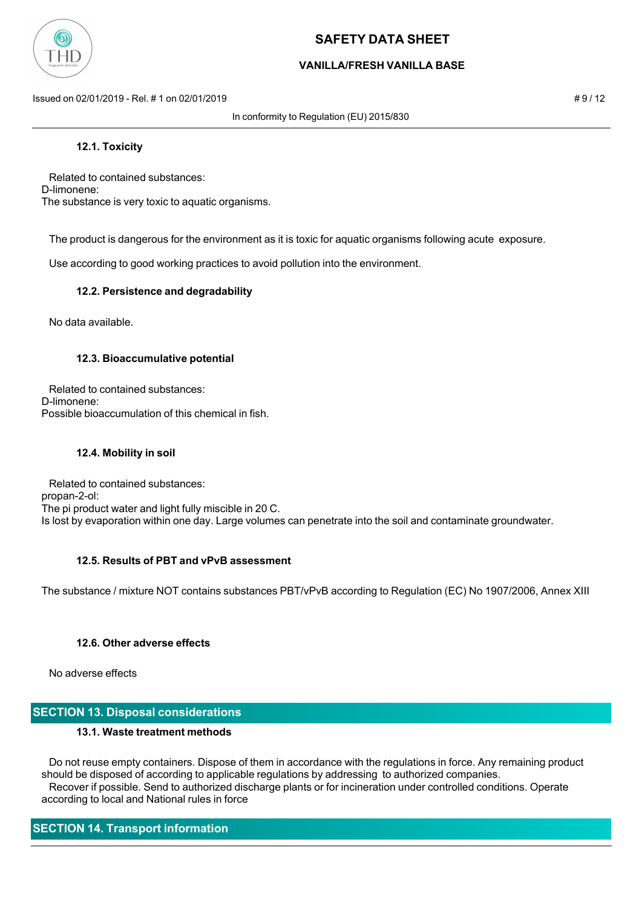

## **VANILLA/FRESH VANILLA BASE**

Issued on 02/01/2019 - Rel. # 1 on 02/01/2019 **Assumed by a structure of the structure of the structure of the structure of the structure of the structure of the structure of the structure of the structure of the structure** 

In conformity to Regulation (EU) 2015/830

#### **12.1. Toxicity**

 Related to contained substances: D-limonene: The substance is very toxic to aquatic organisms.

The product is dangerous for the environment as it is toxic for aquatic organisms following acute exposure.

Use according to good working practices to avoid pollution into the environment.

#### **12.2. Persistence and degradability**

No data available.

#### **12.3. Bioaccumulative potential**

 Related to contained substances: D-limonene: Possible bioaccumulation of this chemical in fish.

#### **12.4. Mobility in soil**

 Related to contained substances: propan-2-ol: The pi product water and light fully miscible in 20 C. Is lost by evaporation within one day. Large volumes can penetrate into the soil and contaminate groundwater.

#### **12.5. Results of PBT and vPvB assessment**

The substance / mixture NOT contains substances PBT/vPvB according to Regulation (EC) No 1907/2006, Annex XIII

#### **12.6. Other adverse effects**

No adverse effects

## **SECTION 13. Disposal considerations**

#### **13.1. Waste treatment methods**

 Do not reuse empty containers. Dispose of them in accordance with the regulations in force. Any remaining product should be disposed of according to applicable regulations by addressing to authorized companies. Recover if possible. Send to authorized discharge plants or for incineration under controlled conditions. Operate according to local and National rules in force

## **SECTION 14. Transport information**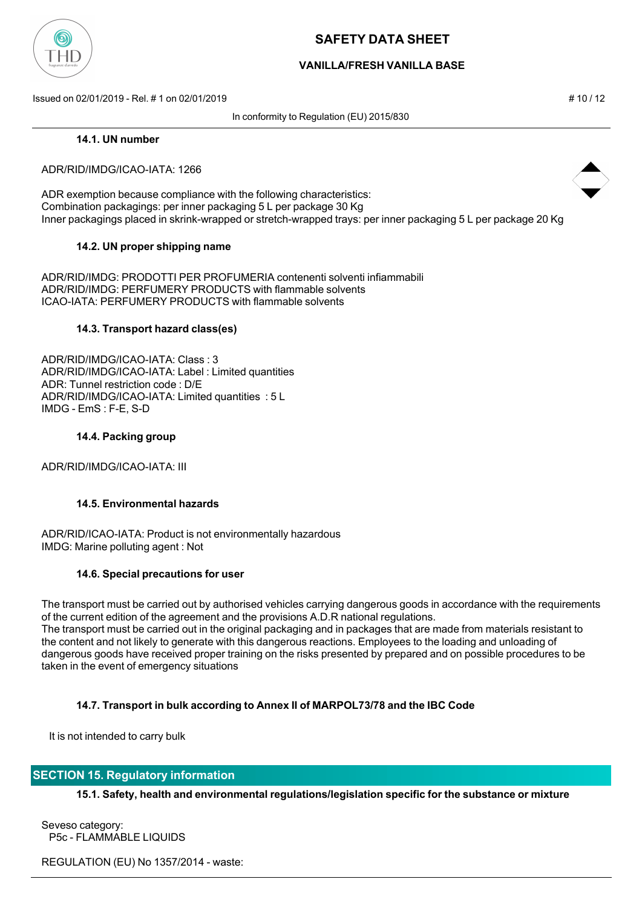

## **VANILLA/FRESH VANILLA BASE**

Issued on 02/01/2019 - Rel. # 1 on 02/01/2019 **# 10 / 12** substitution to the state of the state of the state of the state of the state of the state of the state of the state of the state of the state of the state of the s

In conformity to Regulation (EU) 2015/830

#### **14.1. UN number**

#### ADR/RID/IMDG/ICAO-IATA: 1266

ADR exemption because compliance with the following characteristics: Combination packagings: per inner packaging 5 L per package 30 Kg Inner packagings placed in skrink-wrapped or stretch-wrapped trays: per inner packaging 5 L per package 20 Kg

#### **14.2. UN proper shipping name**

ADR/RID/IMDG: PRODOTTI PER PROFUMERIA contenenti solventi infiammabili ADR/RID/IMDG: PERFUMERY PRODUCTS with flammable solvents ICAO-IATA: PERFUMERY PRODUCTS with flammable solvents

#### **14.3. Transport hazard class(es)**

ADR/RID/IMDG/ICAO-IATA: Class : 3 ADR/RID/IMDG/ICAO-IATA: Label : Limited quantities ADR: Tunnel restriction code : D/E ADR/RID/IMDG/ICAO-IATA: Limited quantities : 5 L IMDG - EmS : F-E, S-D

#### **14.4. Packing group**

ADR/RID/IMDG/ICAO-IATA: III

#### **14.5. Environmental hazards**

ADR/RID/ICAO-IATA: Product is not environmentally hazardous IMDG: Marine polluting agent : Not

#### **14.6. Special precautions for user**

The transport must be carried out by authorised vehicles carrying dangerous goods in accordance with the requirements of the current edition of the agreement and the provisions A.D.R national regulations. The transport must be carried out in the original packaging and in packages that are made from materials resistant to the content and not likely to generate with this dangerous reactions. Employees to the loading and unloading of dangerous goods have received proper training on the risks presented by prepared and on possible procedures to be taken in the event of emergency situations

#### **14.7. Transport in bulk according to Annex II of MARPOL73/78 and the IBC Code**

It is not intended to carry bulk

### **SECTION 15. Regulatory information**

**15.1. Safety, health and environmental regulations/legislation specific for the substance or mixture**

Seveso category: P5c - FLAMMABLE LIQUIDS

REGULATION (EU) No 1357/2014 - waste:



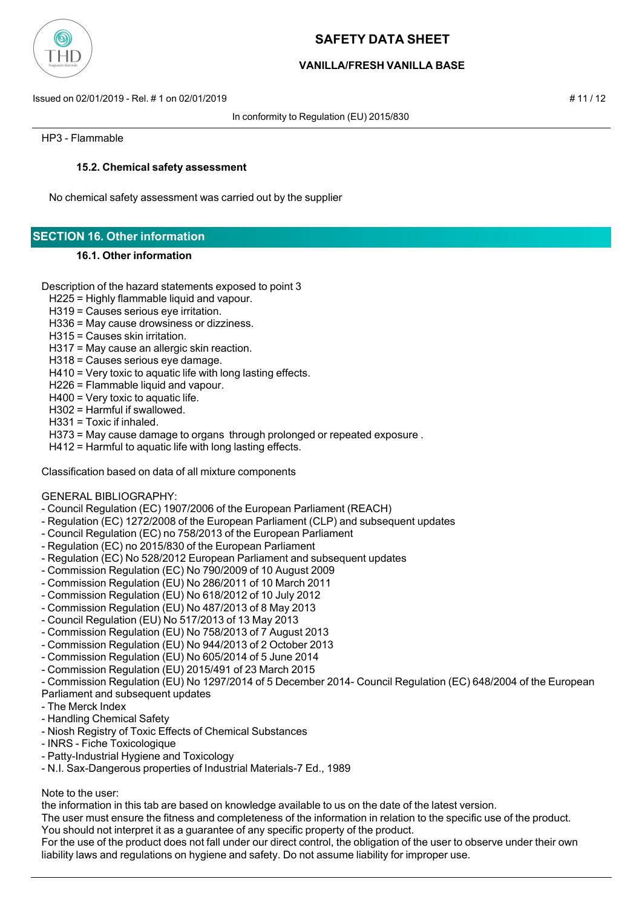

## **VANILLA/FRESH VANILLA BASE**

Issued on 02/01/2019 - Rel. # 1 on 02/01/2019 # 11 / 12

In conformity to Regulation (EU) 2015/830

HP3 - Flammable

### **15.2. Chemical safety assessment**

No chemical safety assessment was carried out by the supplier

## **SECTION 16. Other information**

#### **16.1. Other information**

#### Description of the hazard statements exposed to point 3

- H225 = Highly flammable liquid and vapour.
- H319 = Causes serious eye irritation.
- H336 = May cause drowsiness or dizziness.
- H315 = Causes skin irritation.
- H317 = May cause an allergic skin reaction.
- H318 = Causes serious eye damage.
- H410 = Very toxic to aquatic life with long lasting effects.
- H226 = Flammable liquid and vapour.
- H400 = Very toxic to aquatic life.
- H302 = Harmful if swallowed.
- H331 = Toxic if inhaled.
- H373 = May cause damage to organs through prolonged or repeated exposure .
- H412 = Harmful to aquatic life with long lasting effects.

Classification based on data of all mixture components

#### GENERAL BIBLIOGRAPHY:

- Council Regulation (EC) 1907/2006 of the European Parliament (REACH)
- Regulation (EC) 1272/2008 of the European Parliament (CLP) and subsequent updates
- Council Regulation (EC) no 758/2013 of the European Parliament
- Regulation (EC) no 2015/830 of the European Parliament
- Regulation (EC) No 528/2012 European Parliament and subsequent updates
- Commission Regulation (EC) No 790/2009 of 10 August 2009
- Commission Regulation (EU) No 286/2011 of 10 March 2011
- Commission Regulation (EU) No 618/2012 of 10 July 2012
- Commission Regulation (EU) No 487/2013 of 8 May 2013
- Council Regulation (EU) No 517/2013 of 13 May 2013
- Commission Regulation (EU) No 758/2013 of 7 August 2013
- Commission Regulation (EU) No 944/2013 of 2 October 2013
- Commission Regulation (EU) No 605/2014 of 5 June 2014
- Commission Regulation (EU) 2015/491 of 23 March 2015
- Commission Regulation (EU) No 1297/2014 of 5 December 2014- Council Regulation (EC) 648/2004 of the European

#### Parliament and subsequent updates

- The Merck Index
- Handling Chemical Safety
- Niosh Registry of Toxic Effects of Chemical Substances
- INRS Fiche Toxicologique
- Patty-Industrial Hygiene and Toxicology
- N.I. Sax-Dangerous properties of Industrial Materials-7 Ed., 1989

#### Note to the user:

the information in this tab are based on knowledge available to us on the date of the latest version.

The user must ensure the fitness and completeness of the information in relation to the specific use of the product.

You should not interpret it as a guarantee of any specific property of the product.

For the use of the product does not fall under our direct control, the obligation of the user to observe under their own liability laws and regulations on hygiene and safety. Do not assume liability for improper use.